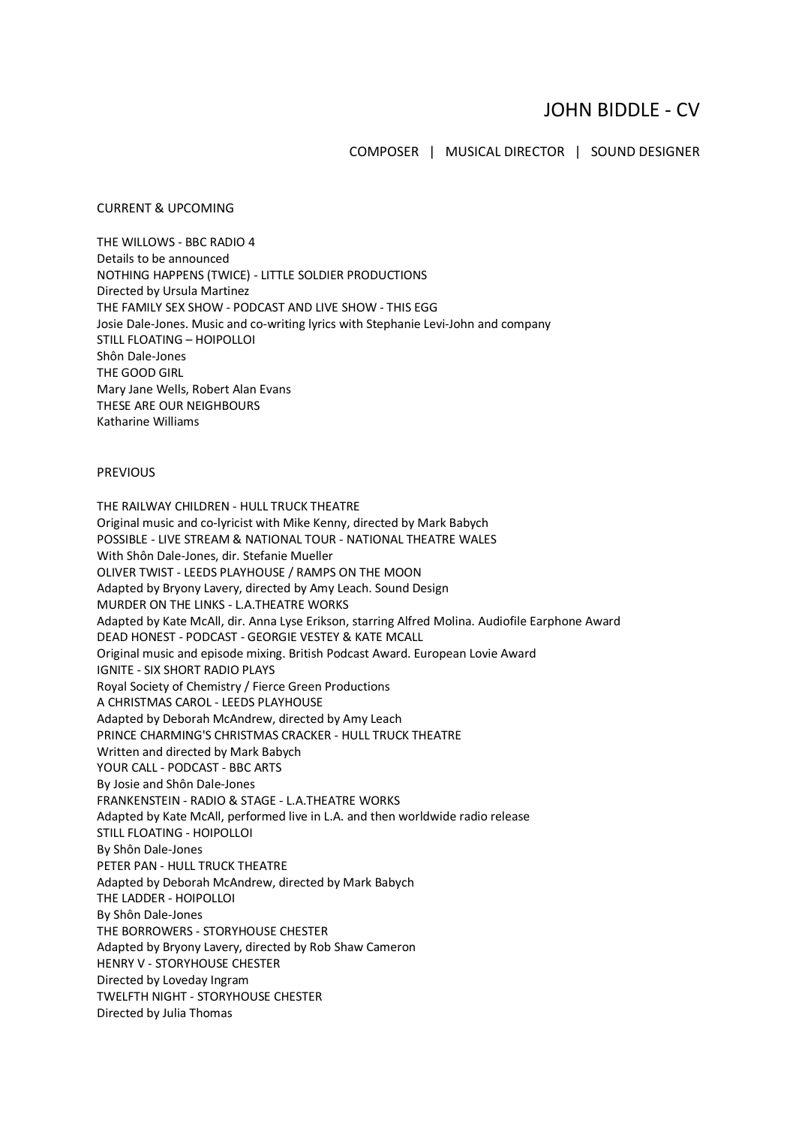## JOHN BIDDLE - CV

COMPOSER | MUSICAL DIRECTOR | SOUND DESIGNER

## CURRENT & UPCOMING

THE WILLOWS - BBC RADIO 4 Details to be announced NOTHING HAPPENS (TWICE) - LITTLE SOLDIER PRODUCTIONS Directed by Ursula Martinez THE FAMILY SEX SHOW - PODCAST AND LIVE SHOW - THIS EGG Josie Dale-Jones. Music and co-writing lyrics with Stephanie Levi-John and company STILL FLOATING – HOIPOLLOI Shôn Dale-Jones THE GOOD GIRL Mary Jane Wells, Robert Alan Evans THESE ARE OUR NEIGHBOURS Katharine Williams

## PREVIOUS

THE RAILWAY CHILDREN - HULL TRUCK THEATRE Original music and co-lyricist with Mike Kenny, directed by Mark Babych POSSIBLE - LIVE STREAM & NATIONAL TOUR - NATIONAL THEATRE WALES With Shôn Dale-Jones, dir. Stefanie Mueller OLIVER TWIST - LEEDS PLAYHOUSE / RAMPS ON THE MOON Adapted by Bryony Lavery, directed by Amy Leach. Sound Design MURDER ON THE LINKS - L.A.THEATRE WORKS Adapted by Kate McAll, dir. Anna Lyse Erikson, starring Alfred Molina. Audiofile Earphone Award DEAD HONEST - PODCAST - GEORGIE VESTEY & KATE MCALL Original music and episode mixing. British Podcast Award. European Lovie Award IGNITE - SIX SHORT RADIO PLAYS Royal Society of Chemistry / Fierce Green Productions A CHRISTMAS CAROL - LEEDS PLAYHOUSE Adapted by Deborah McAndrew, directed by Amy Leach PRINCE CHARMING'S CHRISTMAS CRACKER - HULL TRUCK THEATRE Written and directed by Mark Babych YOUR CALL - PODCAST - BBC ARTS By Josie and Shôn Dale-Jones FRANKENSTEIN - RADIO & STAGE - L.A.THEATRE WORKS Adapted by Kate McAll, performed live in L.A. and then worldwide radio release STILL FLOATING - HOIPOLLOI By Shôn Dale-Jones PETER PAN - HULL TRUCK THEATRE Adapted by Deborah McAndrew, directed by Mark Babych THE LADDER - HOIPOLLOI By Shôn Dale-Jones THE BORROWERS - STORYHOUSE CHESTER Adapted by Bryony Lavery, directed by Rob Shaw Cameron HENRY V - STORYHOUSE CHESTER Directed by Loveday Ingram TWELFTH NIGHT - STORYHOUSE CHESTER Directed by Julia Thomas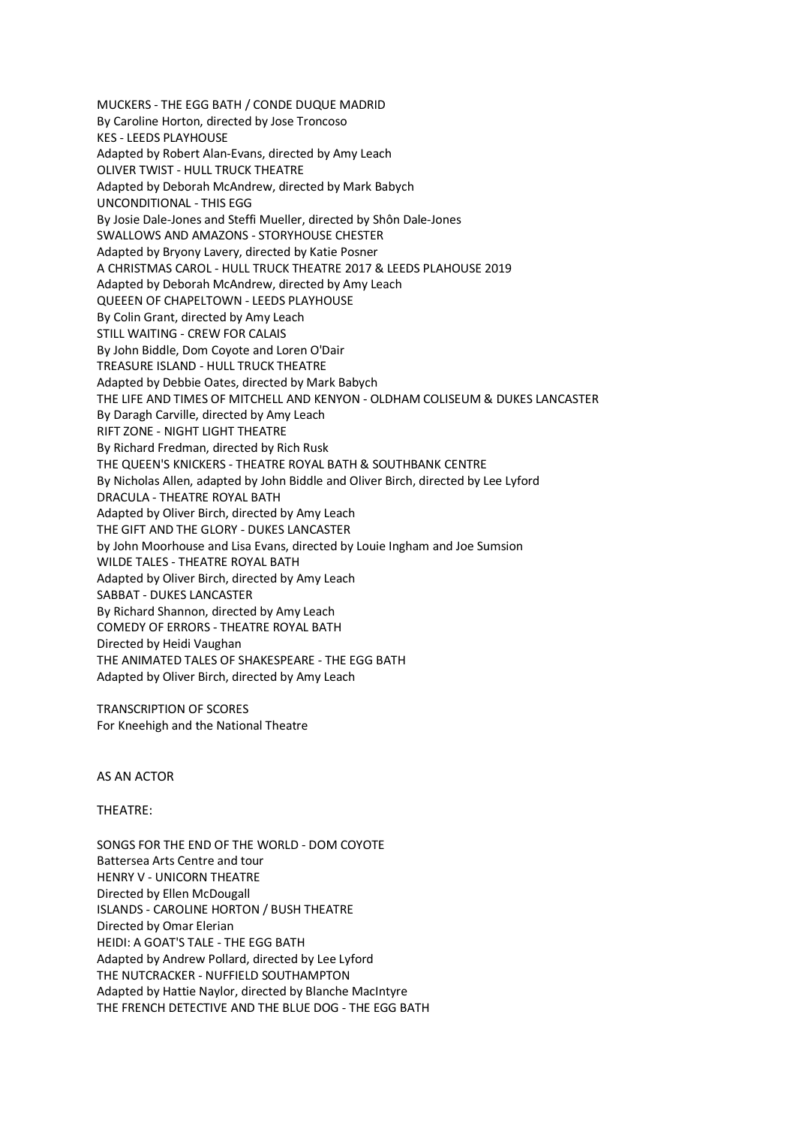MUCKERS - THE EGG BATH / CONDE DUQUE MADRID By Caroline Horton, directed by Jose Troncoso KES - LEEDS PLAYHOUSE Adapted by Robert Alan-Evans, directed by Amy Leach OLIVER TWIST - HULL TRUCK THEATRE Adapted by Deborah McAndrew, directed by Mark Babych UNCONDITIONAL - THIS EGG By Josie Dale-Jones and Steffi Mueller, directed by Shôn Dale-Jones SWALLOWS AND AMAZONS - STORYHOUSE CHESTER Adapted by Bryony Lavery, directed by Katie Posner A CHRISTMAS CAROL - HULL TRUCK THEATRE 2017 & LEEDS PLAHOUSE 2019 Adapted by Deborah McAndrew, directed by Amy Leach QUEEEN OF CHAPELTOWN - LEEDS PLAYHOUSE By Colin Grant, directed by Amy Leach STILL WAITING - CREW FOR CALAIS By John Biddle, Dom Coyote and Loren O'Dair TREASURE ISLAND - HULL TRUCK THEATRE Adapted by Debbie Oates, directed by Mark Babych THE LIFE AND TIMES OF MITCHELL AND KENYON - OLDHAM COLISEUM & DUKES LANCASTER By Daragh Carville, directed by Amy Leach RIFT ZONE - NIGHT LIGHT THEATRE By Richard Fredman, directed by Rich Rusk THE QUEEN'S KNICKERS - THEATRE ROYAL BATH & SOUTHBANK CENTRE By Nicholas Allen, adapted by John Biddle and Oliver Birch, directed by Lee Lyford DRACULA - THEATRE ROYAL BATH Adapted by Oliver Birch, directed by Amy Leach THE GIFT AND THE GLORY - DUKES LANCASTER by John Moorhouse and Lisa Evans, directed by Louie Ingham and Joe Sumsion WILDE TALES - THEATRE ROYAL BATH Adapted by Oliver Birch, directed by Amy Leach SABBAT - DUKES LANCASTER By Richard Shannon, directed by Amy Leach COMEDY OF ERRORS - THEATRE ROYAL BATH Directed by Heidi Vaughan THE ANIMATED TALES OF SHAKESPEARE - THE EGG BATH Adapted by Oliver Birch, directed by Amy Leach

TRANSCRIPTION OF SCORES For Kneehigh and the National Theatre

AS AN ACTOR

## THEATRE:

SONGS FOR THE END OF THE WORLD - DOM COYOTE Battersea Arts Centre and tour HENRY V - UNICORN THEATRE Directed by Ellen McDougall ISLANDS - CAROLINE HORTON / BUSH THEATRE Directed by Omar Elerian HEIDI: A GOAT'S TALE - THE EGG BATH Adapted by Andrew Pollard, directed by Lee Lyford THE NUTCRACKER - NUFFIELD SOUTHAMPTON Adapted by Hattie Naylor, directed by Blanche MacIntyre THE FRENCH DETECTIVE AND THE BLUE DOG - THE EGG BATH